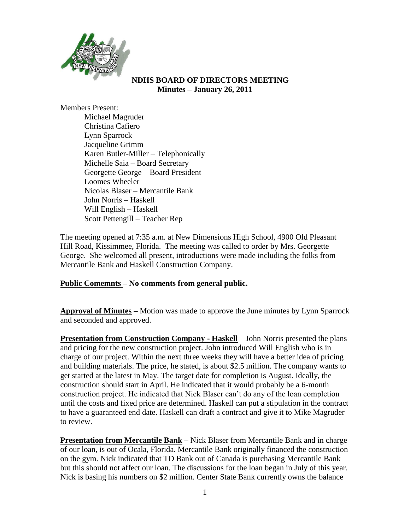

#### **NDHS BOARD OF DIRECTORS MEETING Minutes – January 26, 2011**

Members Present:

Michael Magruder Christina Cafiero Lynn Sparrock Jacqueline Grimm Karen Butler-Miller – Telephonically Michelle Saia – Board Secretary Georgette George – Board President Loomes Wheeler Nicolas Blaser – Mercantile Bank John Norris – Haskell Will English – Haskell Scott Pettengill – Teacher Rep

The meeting opened at 7:35 a.m. at New Dimensions High School, 4900 Old Pleasant Hill Road, Kissimmee, Florida. The meeting was called to order by Mrs. Georgette George. She welcomed all present, introductions were made including the folks from Mercantile Bank and Haskell Construction Company.

# **Public Comemnts – No comments from general public.**

**Approval of Minutes –** Motion was made to approve the June minutes by Lynn Sparrock and seconded and approved.

**Presentation from Construction Company - Haskell** – John Norris presented the plans and pricing for the new construction project. John introduced Will English who is in charge of our project. Within the next three weeks they will have a better idea of pricing and building materials. The price, he stated, is about \$2.5 million. The company wants to get started at the latest in May. The target date for completion is August. Ideally, the construction should start in April. He indicated that it would probably be a 6-month construction project. He indicated that Nick Blaser can't do any of the loan completion until the costs and fixed price are determined. Haskell can put a stipulation in the contract to have a guaranteed end date. Haskell can draft a contract and give it to Mike Magruder to review.

**Presentation from Mercantile Bank** – Nick Blaser from Mercantile Bank and in charge of our loan, is out of Ocala, Florida. Mercantile Bank originally financed the construction on the gym. Nick indicated that TD Bank out of Canada is purchasing Mercantile Bank but this should not affect our loan. The discussions for the loan began in July of this year. Nick is basing his numbers on \$2 million. Center State Bank currently owns the balance